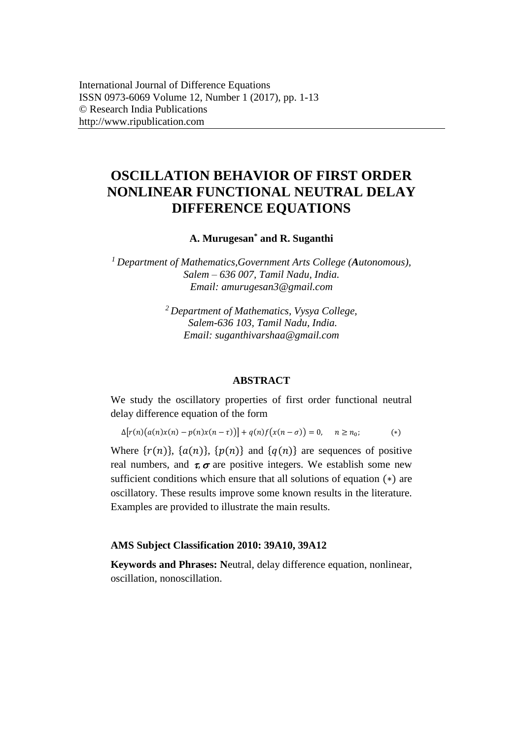# **OSCILLATION BEHAVIOR OF FIRST ORDER NONLINEAR FUNCTIONAL NEUTRAL DELAY DIFFERENCE EQUATIONS**

## **A. Murugesan\* and R. Suganthi**

*<sup>1</sup>Department of Mathematics,Government Arts College (Autonomous), Salem – 636 007, Tamil Nadu, India. Email: [amurugesan3@gmail.com](mailto:amurugesan3@gmail.com)*

> *<sup>2</sup>Department of Mathematics, Vysya College, Salem-636 103, Tamil Nadu, India. Email: suganthivarshaa@gmail.com*

#### **ABSTRACT**

We study the oscillatory properties of first order functional neutral delay difference equation of the form

$$
\Delta[r(n)(a(n)x(n) - p(n)x(n-\tau))] + q(n)f(x(n-\sigma)) = 0, \quad n \ge n_0;
$$
\n<sup>(\*)</sup>

Where  $\{r(n)\}\$ ,  $\{a(n)\}\$ ,  $\{p(n)\}\$  and  $\{q(n)\}\$  are sequences of positive real numbers, and  $\tau$ ,  $\sigma$  are positive integers. We establish some new sufficient conditions which ensure that all solutions of equation (∗) are oscillatory. These results improve some known results in the literature. Examples are provided to illustrate the main results.

#### **AMS Subject Classification 2010: 39A10, 39A12**

**Keywords and Phrases: N**eutral, delay difference equation, nonlinear, oscillation, nonoscillation.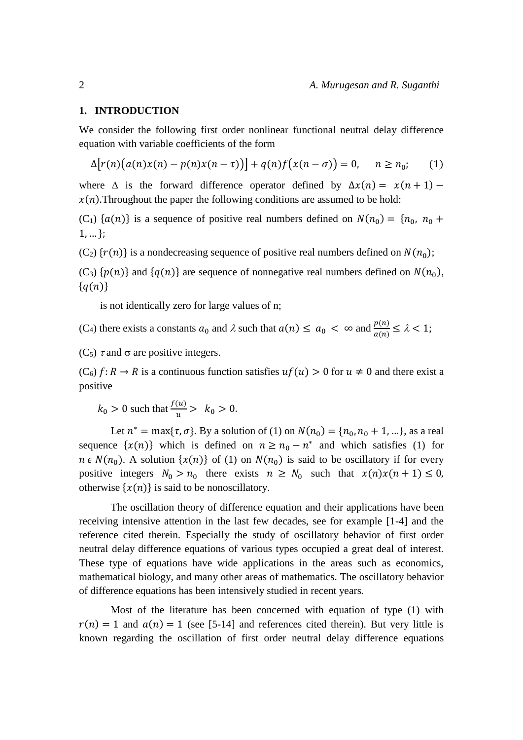#### **1. INTRODUCTION**

We consider the following first order nonlinear functional neutral delay difference equation with variable coefficients of the form

$$
\Delta[r(n)(a(n)x(n) - p(n)x(n-\tau))] + q(n)f(x(n-\sigma)) = 0, \quad n \ge n_0; \quad (1)
$$

where  $\Delta$  is the forward difference operator defined by  $\Delta x(n) = x(n + 1)$  $x(n)$ . Throughout the paper the following conditions are assumed to be hold:

(C<sub>1</sub>) { $a(n)$ } is a sequence of positive real numbers defined on  $N(n_0) = \{n_0, n_0 +$  $1, ...$ ;

 $(C_2)$  { $r(n)$ } is a nondecreasing sequence of positive real numbers defined on  $N(n_0)$ ;

 $(C_3)$  { $p(n)$ } and { $q(n)$ } are sequence of nonnegative real numbers defined on  $N(n_0)$ ,  ${q(n)}$ 

is not identically zero for large values of n;

(C<sub>4</sub>) there exists a constants  $a_0$  and  $\lambda$  such that  $a(n) \le a_0 < \infty$  and  $\frac{p(n)}{a(n)} \le \lambda < 1$ ;

(C<sub>5</sub>)  $\tau$  and  $\sigma$  are positive integers.

 $(C_6)$   $f: R \to R$  is a continuous function satisfies  $uf(u) > 0$  for  $u \neq 0$  and there exist a positive

 $k_0 > 0$  such that  $\frac{f(u)}{u} > k_0 > 0$ .

Let  $n^* = \max{\{\tau, \sigma\}}$ . By a solution of (1) on  $N(n_0) = \{n_0, n_0 + 1, ...\}$ , as a real sequence  $\{x(n)\}\$  which is defined on  $n \geq n_0 - n^*$  and which satisfies (1) for  $n \in N(n_0)$ . A solution  $\{x(n)\}$  of (1) on  $N(n_0)$  is said to be oscillatory if for every positive integers  $N_0 > n_0$  there exists  $n \ge N_0$  such that  $x(n)x(n + 1) \le 0$ , otherwise  $\{x(n)\}\$ is said to be nonoscillatory.

The oscillation theory of difference equation and their applications have been receiving intensive attention in the last few decades, see for example [1-4] and the reference cited therein. Especially the study of oscillatory behavior of first order neutral delay difference equations of various types occupied a great deal of interest. These type of equations have wide applications in the areas such as economics, mathematical biology, and many other areas of mathematics. The oscillatory behavior of difference equations has been intensively studied in recent years.

Most of the literature has been concerned with equation of type (1) with  $r(n) = 1$  and  $a(n) = 1$  (see [5-14] and references cited therein). But very little is known regarding the oscillation of first order neutral delay difference equations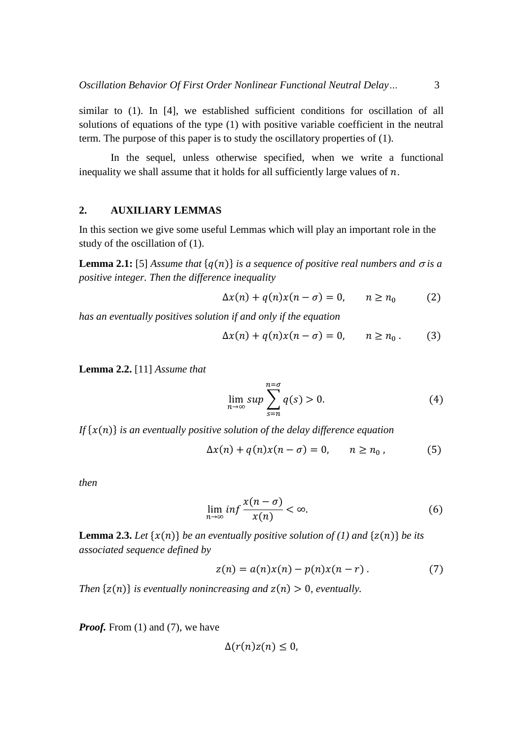similar to (1). In [4], we established sufficient conditions for oscillation of all solutions of equations of the type (1) with positive variable coefficient in the neutral term. The purpose of this paper is to study the oscillatory properties of (1).

In the sequel, unless otherwise specified, when we write a functional inequality we shall assume that it holds for all sufficiently large values of  $n$ .

#### **2. AUXILIARY LEMMAS**

In this section we give some useful Lemmas which will play an important role in the study of the oscillation of (1).

**Lemma 2.1:** [5] Assume that  $\{q(n)\}\$ is a sequence of positive real numbers and  $\sigma$  is a *positive integer. Then the difference inequality*

$$
\Delta x(n) + q(n)x(n - \sigma) = 0, \qquad n \ge n_0 \tag{2}
$$

*has an eventually positives solution if and only if the equation*

$$
\Delta x(n) + q(n)x(n - \sigma) = 0, \qquad n \ge n_0. \tag{3}
$$

**Lemma 2.2.** [11] *Assume that* 

$$
\lim_{n \to \infty} \sup \sum_{s=n}^{n=\sigma} q(s) > 0. \tag{4}
$$

*If*  $\{x(n)\}$  *is an eventually positive solution of the delay difference equation* 

$$
\Delta x(n) + q(n)x(n - \sigma) = 0, \qquad n \ge n_0,
$$
\n(5)

*then* 

$$
\lim_{n \to \infty} \inf \frac{x(n-\sigma)}{x(n)} < \infty. \tag{6}
$$

**Lemma 2.3.** Let  $\{x(n)\}$  be an eventually positive solution of (1) and  $\{z(n)\}$  be its *associated sequence defined by*

$$
z(n) = a(n)x(n) - p(n)x(n-r).
$$
 (7)

*Then*  $\{z(n)\}$  *is eventually nonincreasing and*  $z(n) > 0$ *, eventually.* 

*Proof.* From (1) and (7), we have

$$
\Delta(r(n)z(n)\leq 0,
$$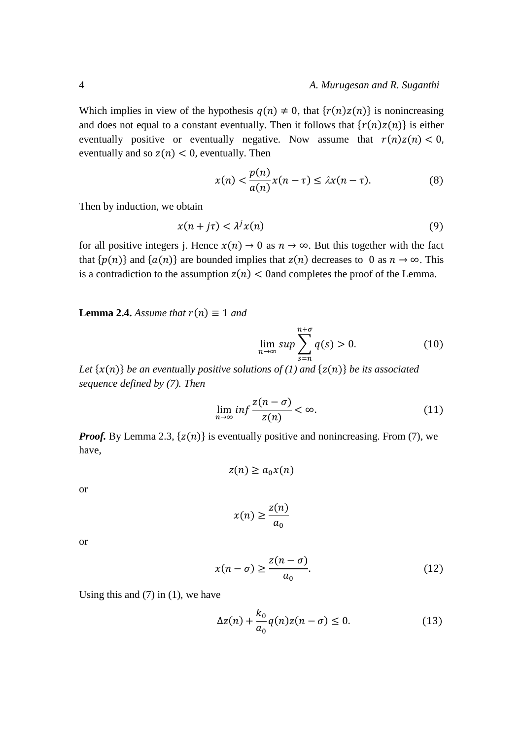Which implies in view of the hypothesis  $q(n) \neq 0$ , that  $\{r(n)z(n)\}$  is nonincreasing and does not equal to a constant eventually. Then it follows that  $\{r(n)z(n)\}\$ is either eventually positive or eventually negative. Now assume that  $r(n)z(n) < 0$ , eventually and so  $z(n) < 0$ , eventually. Then

$$
x(n) < \frac{p(n)}{a(n)}x(n-\tau) \leq \lambda x(n-\tau). \tag{8}
$$

Then by induction, we obtain

$$
x(n+j\tau) < \lambda^j x(n) \tag{9}
$$

for all positive integers j. Hence  $x(n) \to 0$  as  $n \to \infty$ . But this together with the fact that  $\{p(n)\}\$  and  $\{a(n)\}\$ are bounded implies that  $z(n)$  decreases to 0 as  $n \to \infty$ . This is a contradiction to the assumption  $z(n) < 0$  and completes the proof of the Lemma.

**Lemma 2.4.** *Assume that*  $r(n) \equiv 1$  *and* 

$$
\lim_{n \to \infty} \sup \sum_{s=n}^{n+\sigma} q(s) > 0.
$$
 (10)

*Let*  $\{x(n)\}$  *be an eventually positive solutions of (1) and*  $\{z(n)\}$  *be its associated sequence defined by (7). Then* 

$$
\lim_{n \to \infty} \inf \frac{z(n-\sigma)}{z(n)} < \infty. \tag{11}
$$

*Proof.* By Lemma 2.3,  $\{z(n)\}$  is eventually positive and nonincreasing. From (7), we have,

$$
z(n) \ge a_0 x(n)
$$

or

$$
x(n) \ge \frac{z(n)}{a_0}
$$

or

$$
x(n-\sigma) \ge \frac{z(n-\sigma)}{a_0}.\tag{12}
$$

Using this and  $(7)$  in  $(1)$ , we have

$$
\Delta z(n) + \frac{k_0}{a_0} q(n) z(n-\sigma) \le 0.
$$
 (13)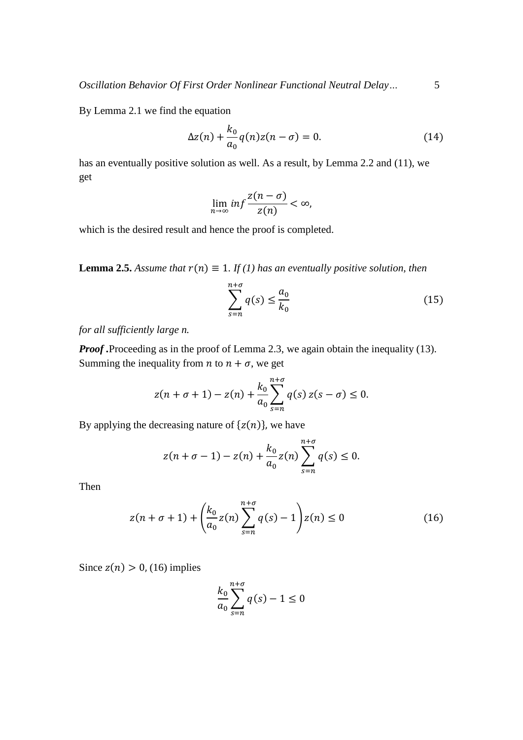By Lemma 2.1 we find the equation

$$
\Delta z(n) + \frac{k_0}{a_0} q(n) z(n - \sigma) = 0.
$$
 (14)

has an eventually positive solution as well. As a result, by Lemma 2.2 and (11), we get

$$
\lim_{n \to \infty} \inf \frac{z(n-\sigma)}{z(n)} < \infty,
$$

which is the desired result and hence the proof is completed.

**Lemma 2.5.** Assume that  $r(n) \equiv 1$ . If (1) has an eventually positive solution, then

$$
\sum_{s=n}^{n+\sigma} q(s) \le \frac{a_0}{k_0} \tag{15}
$$

*for all sufficiently large n.*

*Proof .*Proceeding as in the proof of Lemma 2.3, we again obtain the inequality (13). Summing the inequality from *n* to  $n + \sigma$ , we get

$$
z(n + \sigma + 1) - z(n) + \frac{k_0}{a_0} \sum_{s=n}^{n+\sigma} q(s) z(s - \sigma) \le 0.
$$

By applying the decreasing nature of  $\{z(n)\}\)$ , we have

$$
z(n + \sigma - 1) - z(n) + \frac{k_0}{a_0} z(n) \sum_{s=n}^{n+\sigma} q(s) \le 0.
$$

Then

$$
z(n + \sigma + 1) + \left(\frac{k_0}{a_0}z(n)\sum_{s=n}^{n+\sigma}q(s) - 1\right)z(n) \le 0
$$
 (16)

Since  $z(n) > 0$ , (16) implies

$$
\frac{k_0}{a_0} \sum_{s=n}^{n+\sigma} q(s) - 1 \le 0
$$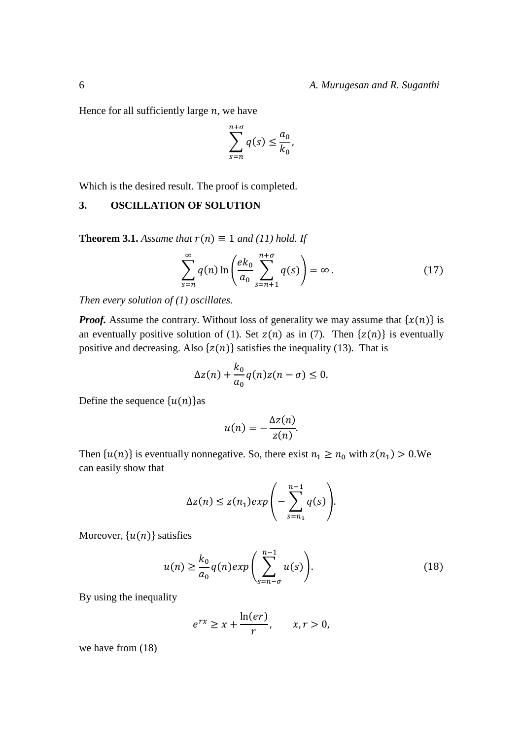Hence for all sufficiently large  $n$ , we have

$$
\sum_{s=n}^{n+\sigma} q(s) \le \frac{a_0}{k_0},
$$

Which is the desired result. The proof is completed.

## **3. OSCILLATION OF SOLUTION**

**Theorem 3.1.** *Assume that*  $r(n) \equiv 1$  *and* (11) *hold.* If

$$
\sum_{s=n}^{\infty} q(n) \ln \left( \frac{ek_0}{a_0} \sum_{s=n+1}^{n+\sigma} q(s) \right) = \infty.
$$
 (17)

*Then every solution of (1) oscillates.* 

*Proof.* Assume the contrary. Without loss of generality we may assume that  $\{x(n)\}$  is an eventually positive solution of (1). Set  $z(n)$  as in (7). Then  $\{z(n)\}\$ is eventually positive and decreasing. Also  $\{z(n)\}\$  satisfies the inequality (13). That is

$$
\Delta z(n) + \frac{k_0}{a_0} q(n) z(n - \sigma) \le 0.
$$

Define the sequence  $\{u(n)\}$ as

$$
u(n)=-\frac{\Delta z(n)}{z(n)}.
$$

Then  $\{u(n)\}\$ is eventually nonnegative. So, there exist  $n_1 \ge n_0$  with  $z(n_1) > 0$ . We can easily show that

$$
\Delta z(n) \leq z(n_1) exp\left(-\sum_{s=n_1}^{n-1} q(s)\right).
$$

Moreover,  $\{u(n)\}\$ satisfies

$$
u(n) \ge \frac{k_0}{a_0} q(n) exp\left(\sum_{s=n-\sigma}^{n-1} u(s)\right).
$$
 (18)

By using the inequality

$$
e^{rx} \ge x + \frac{\ln(er)}{r}, \qquad x, r > 0,
$$

we have from (18)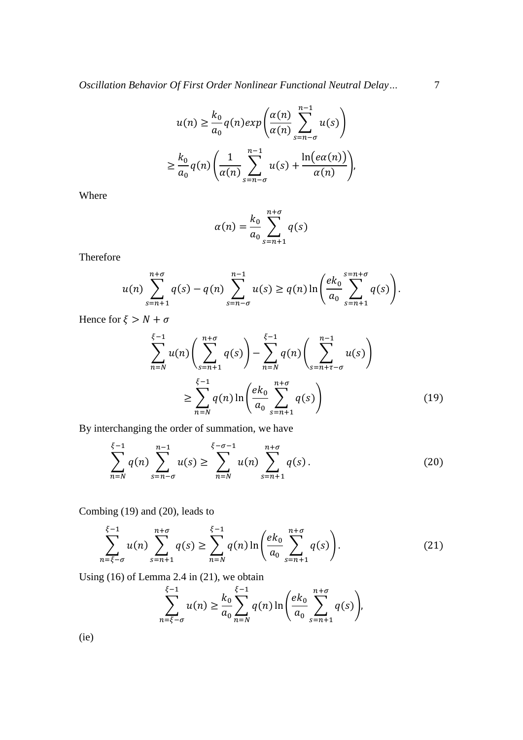$$
u(n) \ge \frac{k_0}{a_0} q(n) exp\left(\frac{\alpha(n)}{\alpha(n)} \sum_{s=n-\sigma}^{n-1} u(s)\right)
$$
  

$$
\ge \frac{k_0}{a_0} q(n) \left(\frac{1}{\alpha(n)} \sum_{s=n-\sigma}^{n-1} u(s) + \frac{\ln(e\alpha(n))}{\alpha(n)}\right),
$$

Where

$$
\alpha(n) = \frac{k_0}{a_0} \sum_{s=n+1}^{n+\sigma} q(s)
$$

Therefore

$$
u(n) \sum_{s=n+1}^{n+\sigma} q(s) - q(n) \sum_{s=n-\sigma}^{n-1} u(s) \ge q(n) \ln \left( \frac{ek_0}{a_0} \sum_{s=n+1}^{s=n+\sigma} q(s) \right).
$$

Hence for  $\xi > N + \sigma$ 

$$
\sum_{n=N}^{\xi-1} u(n) \left( \sum_{s=n+1}^{n+\sigma} q(s) \right) - \sum_{n=N}^{\xi-1} q(n) \left( \sum_{s=n+\tau-\sigma}^{n-1} u(s) \right)
$$
  

$$
\geq \sum_{n=N}^{\xi-1} q(n) \ln \left( \frac{ek_0}{a_0} \sum_{s=n+1}^{n+\sigma} q(s) \right)
$$
(19)

By interchanging the order of summation, we have

$$
\sum_{n=N}^{\xi-1} q(n) \sum_{s=n-\sigma}^{n-1} u(s) \ge \sum_{n=N}^{\xi-\sigma-1} u(n) \sum_{s=n+1}^{n+\sigma} q(s).
$$
 (20)

Combing (19) and (20), leads to

$$
\sum_{n=\xi-\sigma}^{\xi-1} u(n) \sum_{s=n+1}^{n+\sigma} q(s) \ge \sum_{n=N}^{\xi-1} q(n) \ln \left( \frac{ek_0}{a_0} \sum_{s=n+1}^{n+\sigma} q(s) \right). \tag{21}
$$

Using (16) of Lemma 2.4 in (21), we obtain

$$
\sum_{n=\xi-\sigma}^{\xi-1} u(n) \ge \frac{k_0}{a_0} \sum_{n=N}^{\xi-1} q(n) \ln \left( \frac{ek_0}{a_0} \sum_{s=n+1}^{n+\sigma} q(s) \right),
$$

(ie)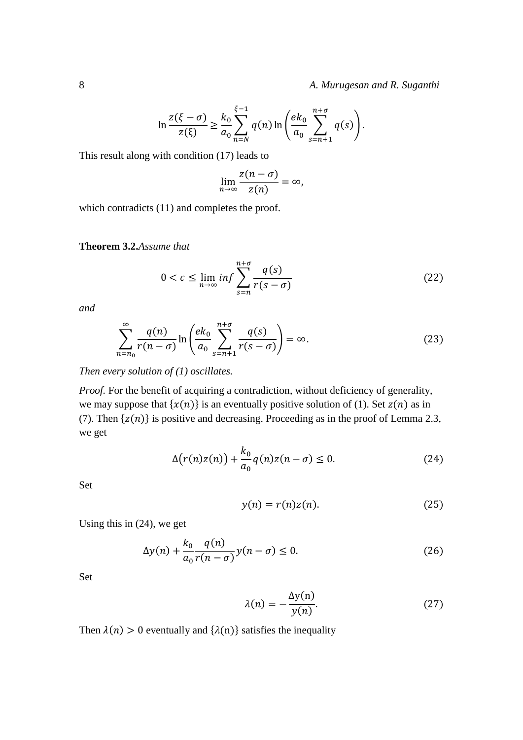8 *A. Murugesan and R. Suganthi*

$$
\ln \frac{z(\xi - \sigma)}{z(\xi)} \ge \frac{k_0}{a_0} \sum_{n=N}^{\xi - 1} q(n) \ln \left( \frac{ek_0}{a_0} \sum_{s=n+1}^{n+\sigma} q(s) \right).
$$

This result along with condition (17) leads to

$$
\lim_{n\to\infty}\frac{z(n-\sigma)}{z(n)}=\infty,
$$

which contradicts  $(11)$  and completes the proof.

## **Theorem 3.2.***Assume that*

$$
0 < c \le \lim_{n \to \infty} \inf \sum_{s=n}^{n+\sigma} \frac{q(s)}{r(s-\sigma)} \tag{22}
$$

*and* 

$$
\sum_{n=n_0}^{\infty} \frac{q(n)}{r(n-\sigma)} \ln \left( \frac{ek_0}{a_0} \sum_{s=n+1}^{n+\sigma} \frac{q(s)}{r(s-\sigma)} \right) = \infty.
$$
 (23)

*Then every solution of (1) oscillates.*

*Proof.* For the benefit of acquiring a contradiction, without deficiency of generality, we may suppose that  $\{x(n)\}$  is an eventually positive solution of (1). Set  $z(n)$  as in (7). Then  $\{z(n)\}\$ is positive and decreasing. Proceeding as in the proof of Lemma 2.3, we get

$$
\Delta(r(n)z(n)) + \frac{k_0}{a_0}q(n)z(n-\sigma) \le 0.
$$
\n(24)

Set

$$
y(n) = r(n)z(n). \tag{25}
$$

Using this in (24), we get

$$
\Delta y(n) + \frac{k_0}{a_0} \frac{q(n)}{r(n-\sigma)} y(n-\sigma) \le 0.
$$
\n(26)

Set

$$
\lambda(n) = -\frac{\Delta y(n)}{y(n)}.\tag{27}
$$

Then  $\lambda(n) > 0$  eventually and  $\{\lambda(n)\}$  satisfies the inequality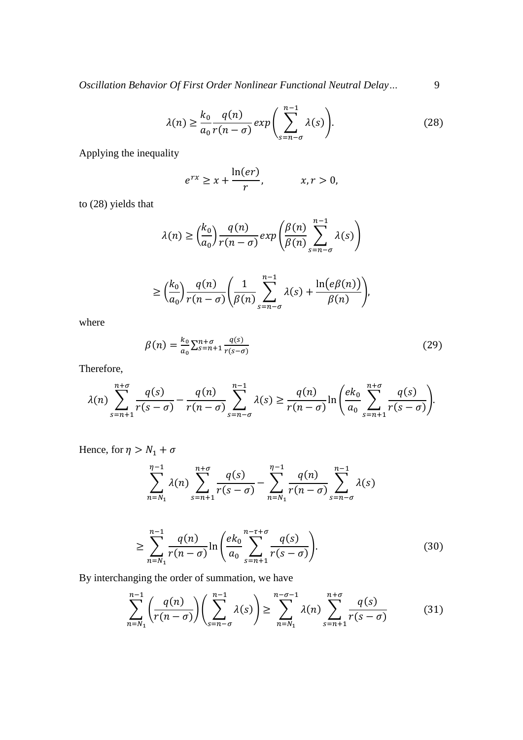*Oscillation Behavior Of First Order Nonlinear Functional Neutral Delay...* 9

$$
\lambda(n) \ge \frac{k_0}{a_0} \frac{q(n)}{r(n-\sigma)} \exp\left(\sum_{s=n-\sigma}^{n-1} \lambda(s)\right).
$$
 (28)

Applying the inequality

$$
e^{rx} \ge x + \frac{\ln(er)}{r}, \qquad x, r > 0,
$$

to (28) yields that

$$
\lambda(n) \ge \left(\frac{k_0}{a_0}\right) \frac{q(n)}{r(n-\sigma)} \exp\left(\frac{\beta(n)}{\beta(n)} \sum_{s=n-\sigma}^{n-1} \lambda(s)\right)
$$

$$
\geq \left(\frac{k_0}{a_0}\right) \frac{q(n)}{r(n-\sigma)} \left(\frac{1}{\beta(n)} \sum_{s=n-\sigma}^{n-1} \lambda(s) + \frac{\ln(e\beta(n))}{\beta(n)}\right),
$$

where

$$
\beta(n) = \frac{k_0}{a_0} \sum_{s=n+1}^{n+\sigma} \frac{q(s)}{r(s-\sigma)}\tag{29}
$$

Therefore,

$$
\lambda(n) \sum_{s=n+1}^{n+\sigma} \frac{q(s)}{r(s-\sigma)} - \frac{q(n)}{r(n-\sigma)} \sum_{s=n-\sigma}^{n-1} \lambda(s) \ge \frac{q(n)}{r(n-\sigma)} \ln \left( \frac{ek_0}{a_0} \sum_{s=n+1}^{n+\sigma} \frac{q(s)}{r(s-\sigma)} \right).
$$

Hence, for  $\eta > N_1 + \sigma$ 

$$
\sum_{n=N_1}^{\eta-1} \lambda(n) \sum_{s=n+1}^{n+\sigma} \frac{q(s)}{r(s-\sigma)} - \sum_{n=N_1}^{\eta-1} \frac{q(n)}{r(n-\sigma)} \sum_{s=n-\sigma}^{n-1} \lambda(s)
$$

$$
\geq \sum_{n=N_1}^{n-1} \frac{q(n)}{r(n-\sigma)} \ln \left( \frac{ek_0}{a_0} \sum_{s=n+1}^{n-\tau+\sigma} \frac{q(s)}{r(s-\sigma)} \right).
$$
 (30)

By interchanging the order of summation, we have

$$
\sum_{n=N_1}^{n-1} \left( \frac{q(n)}{r(n-\sigma)} \right) \left( \sum_{s=n-\sigma}^{n-1} \lambda(s) \right) \ge \sum_{n=N_1}^{n-\sigma-1} \lambda(n) \sum_{s=n+1}^{n+\sigma} \frac{q(s)}{r(s-\sigma)}
$$
(31)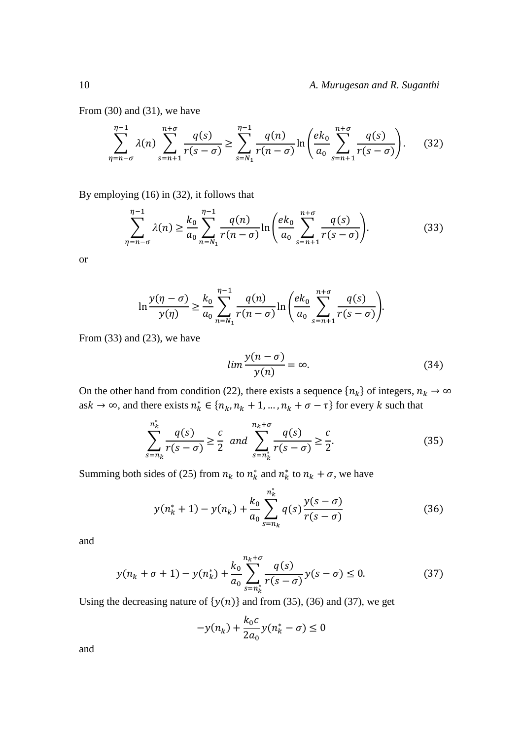From (30) and (31), we have

$$
\sum_{\eta=n-\sigma}^{\eta-1} \lambda(n) \sum_{s=n+1}^{n+\sigma} \frac{q(s)}{r(s-\sigma)} \ge \sum_{s=N_1}^{\eta-1} \frac{q(n)}{r(n-\sigma)} \ln \left( \frac{ek_0}{a_0} \sum_{s=n+1}^{n+\sigma} \frac{q(s)}{r(s-\sigma)} \right). \tag{32}
$$

By employing (16) in (32), it follows that

$$
\sum_{\eta=n-\sigma}^{\eta-1} \lambda(\eta) \ge \frac{k_0}{a_0} \sum_{n=N_1}^{\eta-1} \frac{q(n)}{r(n-\sigma)} \ln \left( \frac{ek_0}{a_0} \sum_{s=n+1}^{n+\sigma} \frac{q(s)}{r(s-\sigma)} \right).
$$
 (33)

or

$$
\ln \frac{y(\eta - \sigma)}{y(\eta)} \ge \frac{k_0}{a_0} \sum_{n=N_1}^{\eta - 1} \frac{q(n)}{r(n - \sigma)} \ln \left( \frac{ek_0}{a_0} \sum_{s=n+1}^{n+\sigma} \frac{q(s)}{r(s - \sigma)} \right).
$$

From (33) and (23), we have

$$
lim \frac{y(n-\sigma)}{y(n)} = \infty.
$$
 (34)

On the other hand from condition (22), there exists a sequence  $\{n_k\}$  of integers,  $n_k \to \infty$ as  $k \to \infty$ , and there exists  $n_k^* \in \{n_k, n_k + 1, ..., n_k + \sigma - \tau\}$  for every k such that

$$
\sum_{s=n_k}^{n_k^*} \frac{q(s)}{r(s-\sigma)} \ge \frac{c}{2} \quad \text{and} \quad \sum_{s=n_k^*}^{n_k+\sigma} \frac{q(s)}{r(s-\sigma)} \ge \frac{c}{2}.\tag{35}
$$

Summing both sides of (25) from  $n_k$  to  $n_k^*$  and  $n_k^*$  to  $n_k + \sigma$ , we have

$$
y(n_k^* + 1) - y(n_k) + \frac{k_0}{a_0} \sum_{s=n_k}^{n_k^*} q(s) \frac{y(s-\sigma)}{r(s-\sigma)}
$$
(36)

and

$$
y(n_k + \sigma + 1) - y(n_k^*) + \frac{k_0}{a_0} \sum_{s=n_k^*}^{n_k + \sigma} \frac{q(s)}{r(s - \sigma)} y(s - \sigma) \le 0.
$$
 (37)

Using the decreasing nature of  $\{y(n)\}\$  and from (35), (36) and (37), we get

$$
-y(n_k) + \frac{k_0 c}{2a_0}y(n_k^* - \sigma) \le 0
$$

and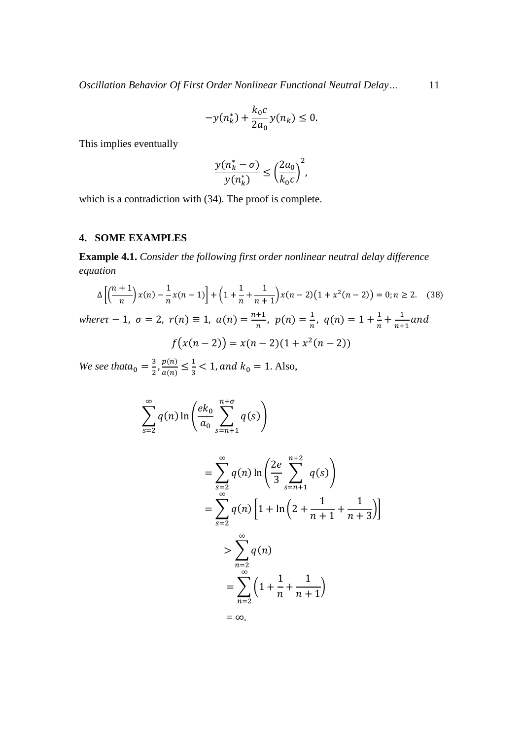*Oscillation Behavior Of First Order Nonlinear Functional Neutral Delay…* 11

$$
-y(n_k^*) + \frac{k_0 c}{2a_0} y(n_k) \le 0.
$$

This implies eventually

$$
\frac{y(n_k^* - \sigma)}{y(n_k^*)} \le \left(\frac{2a_0}{k_0c}\right)^2,
$$

which is a contradiction with (34). The proof is complete.

# **4. SOME EXAMPLES**

**Example 4.1.** *Consider the following first order nonlinear neutral delay difference equation*

$$
\Delta\left[\left(\frac{n+1}{n}\right)x(n) - \frac{1}{n}x(n-1)\right] + \left(1 + \frac{1}{n} + \frac{1}{n+1}\right)x(n-2)\left(1 + x^2(n-2)\right) = 0; n \ge 2. \quad (38)
$$
\n
$$
where \tau - 1, \ \sigma = 2, \ r(n) \equiv 1, \ a(n) = \frac{n+1}{n}, \ p(n) = \frac{1}{n}, \ q(n) = 1 + \frac{1}{n} + \frac{1}{n+1} \text{ and}
$$

$$
f(x(n-2)) = x(n-2)(1 + x2(n-2))
$$

*We see that* $a_0 = \frac{3}{2}$  $rac{3}{2}$ ,  $rac{p(n)}{a(n)}$  $\frac{p(n)}{a(n)} \leq \frac{1}{3}$  $\frac{1}{3}$  < 1, and  $k_0 = 1$ . Also,

$$
\sum_{s=2}^{\infty} q(n) \ln \left( \frac{ek_0}{a_0} \sum_{s=n+1}^{n+\sigma} q(s) \right)
$$
  
= 
$$
\sum_{s=2}^{\infty} q(n) \ln \left( \frac{2e}{3} \sum_{s=n+1}^{n+2} q(s) \right)
$$
  
= 
$$
\sum_{s=2}^{\infty} q(n) \left[ 1 + \ln \left( 2 + \frac{1}{n+1} + \frac{1}{n+3} \right) \right]
$$
  

$$
> \sum_{n=2}^{\infty} q(n)
$$
  
= 
$$
\sum_{n=2}^{\infty} \left( 1 + \frac{1}{n} + \frac{1}{n+1} \right)
$$
  
= 
$$
\infty.
$$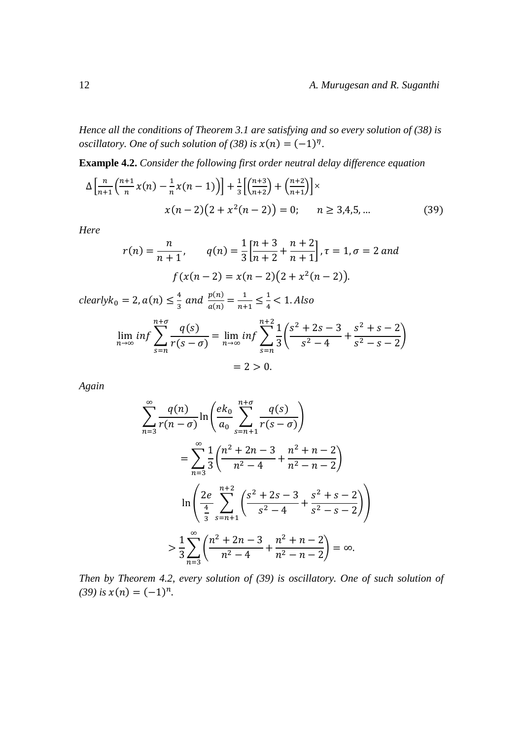*Hence all the conditions of Theorem 3.1 are satisfying and so every solution of (38) is oscillatory. One of such solution of (38) is*  $x(n) = (-1)^n$ .

**Example 4.2.** *Consider the following first order neutral delay difference equation*

$$
\Delta \left[ \frac{n}{n+1} \left( \frac{n+1}{n} \chi(n) - \frac{1}{n} \chi(n-1) \right) \right] + \frac{1}{3} \left[ \left( \frac{n+3}{n+2} \right) + \left( \frac{n+2}{n+1} \right) \right] \times
$$
  
 
$$
\chi(n-2) \left( 2 + \chi^2(n-2) \right) = 0; \qquad n \ge 3,4,5,...
$$
 (39)

*Here*

$$
r(n) = \frac{n}{n+1}, \qquad q(n) = \frac{1}{3} \left[ \frac{n+3}{n+2} + \frac{n+2}{n+1} \right], \tau = 1, \sigma = 2 \text{ and}
$$

$$
f(x(n-2) = x(n-2)(2 + x^2(n-2)).
$$

 $clearlyk_0 = 2$ ,  $a(n) \leq \frac{4}{3}$  $\frac{4}{3}$  and  $\frac{p(n)}{a(n)} = \frac{1}{n+1}$  $\frac{1}{n+1} \leq \frac{1}{4}$  $\frac{1}{4}$  < 1. Also

$$
\lim_{n \to \infty} \inf \sum_{s=n}^{n+\sigma} \frac{q(s)}{r(s-\sigma)} = \lim_{n \to \infty} \inf \sum_{s=n}^{n+2} \frac{1}{3} \left( \frac{s^2 + 2s - 3}{s^2 - 4} + \frac{s^2 + s - 2}{s^2 - s - 2} \right)
$$

$$
= 2 > 0.
$$

*Again*

$$
\sum_{n=3}^{\infty} \frac{q(n)}{r(n-\sigma)} \ln \left( \frac{ek_0}{a_0} \sum_{s=n+1}^{n+\sigma} \frac{q(s)}{r(s-\sigma)} \right)
$$
  
= 
$$
\sum_{n=3}^{\infty} \frac{1}{3} \left( \frac{n^2 + 2n - 3}{n^2 - 4} + \frac{n^2 + n - 2}{n^2 - n - 2} \right)
$$
  

$$
\ln \left( \frac{2e}{\frac{4}{3}} \sum_{s=n+1}^{n+2} \left( \frac{s^2 + 2s - 3}{s^2 - 4} + \frac{s^2 + s - 2}{s^2 - s - 2} \right) \right)
$$
  

$$
> \frac{1}{3} \sum_{n=3}^{\infty} \left( \frac{n^2 + 2n - 3}{n^2 - 4} + \frac{n^2 + n - 2}{n^2 - n - 2} \right) = \infty.
$$

*Then by Theorem 4.2, every solution of (39) is oscillatory. One of such solution of*   $(39)$  is  $x(n) = (-1)^n$ .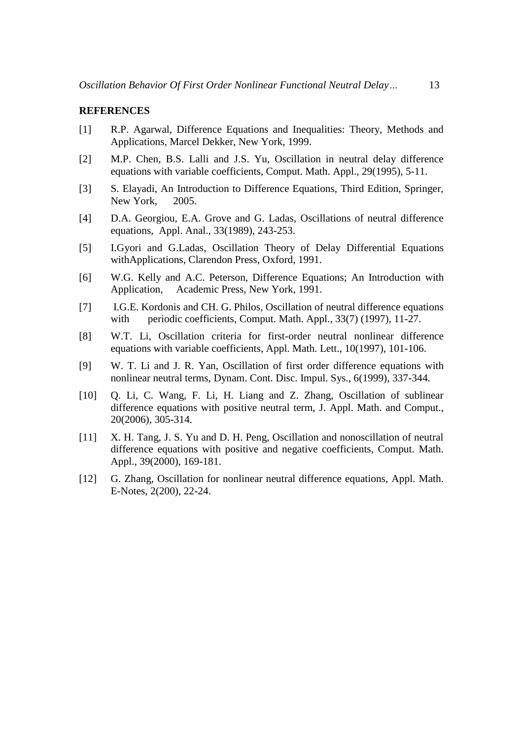#### **REFERENCES**

- [1] R.P. Agarwal, Difference Equations and Inequalities: Theory, Methods and Applications, Marcel Dekker, New York, 1999.
- [2] M.P. Chen, B.S. Lalli and J.S. Yu, Oscillation in neutral delay difference equations with variable coefficients, Comput. Math. Appl., 29(1995), 5-11.
- [3] S. Elayadi, An Introduction to Difference Equations, Third Edition, Springer, New York, 2005.
- [4] D.A. Georgiou, E.A. Grove and G. Ladas, Oscillations of neutral difference equations, Appl. Anal., 33(1989), 243-253.
- [5] I.Gyori and G.Ladas, Oscillation Theory of Delay Differential Equations withApplications, Clarendon Press, Oxford, 1991.
- [6] W.G. Kelly and A.C. Peterson, Difference Equations; An Introduction with Application, Academic Press, New York, 1991.
- [7] I.G.E. Kordonis and CH. G. Philos, Oscillation of neutral difference equations with periodic coefficients, Comput. Math. Appl., 33(7) (1997), 11-27.
- [8] W.T. Li, Oscillation criteria for first-order neutral nonlinear difference equations with variable coefficients, Appl. Math. Lett., 10(1997), 101-106.
- [9] W. T. Li and J. R. Yan, Oscillation of first order difference equations with nonlinear neutral terms, Dynam. Cont. Disc. Impul. Sys., 6(1999), 337-344.
- [10] Q. Li, C. Wang, F. Li, H. Liang and Z. Zhang, Oscillation of sublinear difference equations with positive neutral term, J. Appl. Math. and Comput., 20(2006), 305-314.
- [11] X. H. Tang, J. S. Yu and D. H. Peng, Oscillation and nonoscillation of neutral difference equations with positive and negative coefficients, Comput. Math. Appl., 39(2000), 169-181.
- [12] G. Zhang, Oscillation for nonlinear neutral difference equations, Appl. Math. E-Notes, 2(200), 22-24.